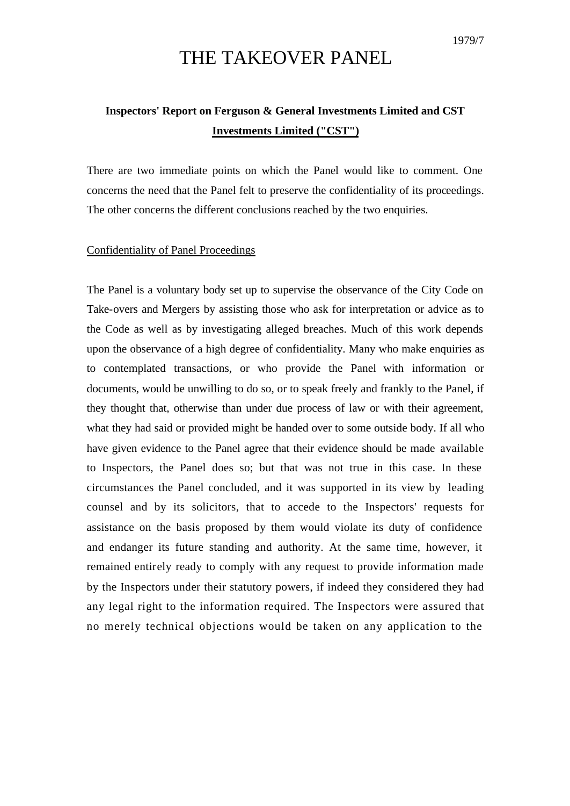## THE TAKEOVER PANEL

## **Inspectors' Report on Ferguson & General Investments Limited and CST Investments Limited ("CST")**

There are two immediate points on which the Panel would like to comment. One concerns the need that the Panel felt to preserve the confidentiality of its proceedings. The other concerns the different conclusions reached by the two enquiries.

## Confidentiality of Panel Proceedings

The Panel is a voluntary body set up to supervise the observance of the City Code on Take-overs and Mergers by assisting those who ask for interpretation or advice as to the Code as well as by investigating alleged breaches. Much of this work depends upon the observance of a high degree of confidentiality. Many who make enquiries as to contemplated transactions, or who provide the Panel with information or documents, would be unwilling to do so, or to speak freely and frankly to the Panel, if they thought that, otherwise than under due process of law or with their agreement, what they had said or provided might be handed over to some outside body. If all who have given evidence to the Panel agree that their evidence should be made available to Inspectors, the Panel does so; but that was not true in this case. In these circumstances the Panel concluded, and it was supported in its view by leading counsel and by its solicitors, that to accede to the Inspectors' requests for assistance on the basis proposed by them would violate its duty of confidence and endanger its future standing and authority. At the same time, however, it remained entirely ready to comply with any request to provide information made by the Inspectors under their statutory powers, if indeed they considered they had any legal right to the information required. The Inspectors were assured that no merely technical objections would be taken on any application to the